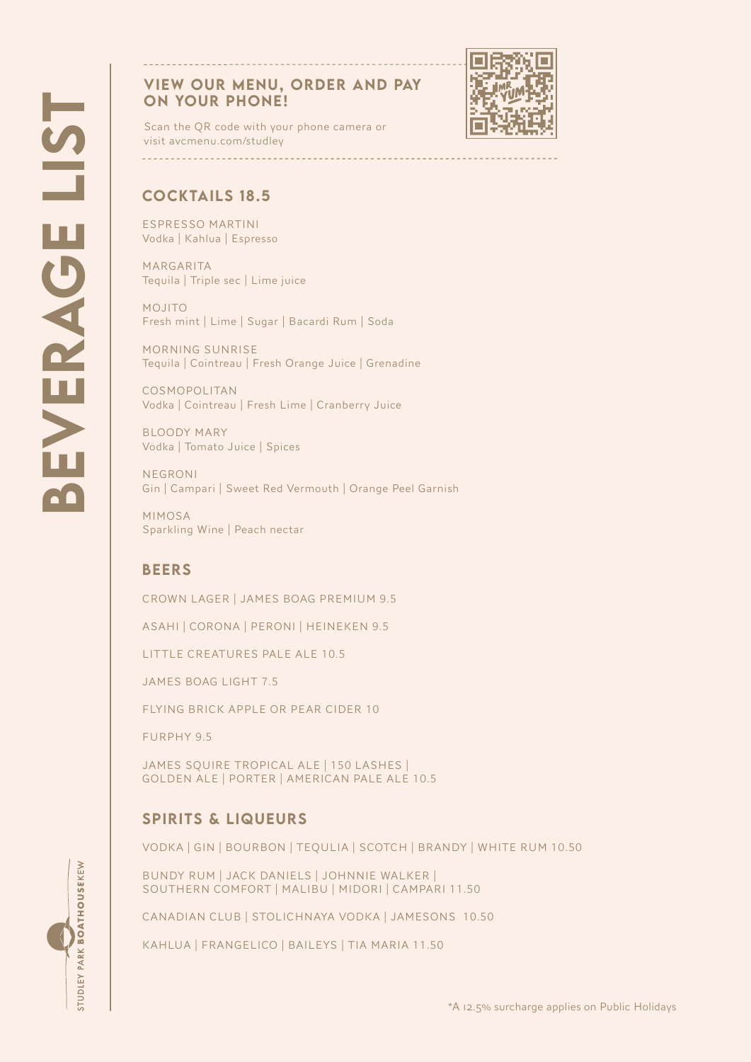## VIEW OUR MENU, ORDER AND PAY ON YOUR PHONE!



Scan the QR code with your phone camera or visit avcmenu.com/studley

## COCKTAILS 18.5

ESPRESSO MARTINI Vodka | Kahlua | Espresso

MARGARITA Tequila | Triple sec | Lime juice

MOJITO Fresh mint | Lime | Sugar | Bacardi Rum | Soda

MORNING SUNRISE Tequila | Cointreau | Fresh Orange Juice | Grenadine

COSMOPOLITAN Vodka | Cointreau | Fresh Lime | Cranberry Juice

BLOODY MARY Vodka | Tomato Juice | Spices

NEGRONI Gin | Campari | Sweet Red Vermouth | Orange Peel Garnish

MIMOSA Sparkling Wine | Peach nectar

## **BEERS**

CROWN LAGER | JAMES BOAG PREMIUM 9.5

ASAHI | CORONA | PERONI | HEINEKEN 9.5

LITTLE CREATURES PALE ALE 10.5

JAMES BOAG LIGHT 7.5

FLYING BRICK APPLE OR PEAR CIDER 10

FURPHY 9.5

STUDLEY PARK BOATHOUSEKEW

JAMES SQUIRE TROPICAL ALE | 150 LASHES | GOLDEN ALE | PORTER | AMERICAN PALE ALE 10.5

## SPIRITS & LIQUEURS

VODKA | GIN | BOURBON | TEQULIA | SCOTCH | BRANDY | WHITE RUM 10.50

BUNDY RUM | JACK DANIELS | JOHNNIE WALKER | SOUTHERN COMFORT | MALIBU | MIDORI | CAMPARI 11.50

CANADIAN CLUB | STOLICHNAYA VODKA | JAMESONS 10.50

KAHLUA | FRANGELICO | BAILEYS | TIA MARIA 11.50